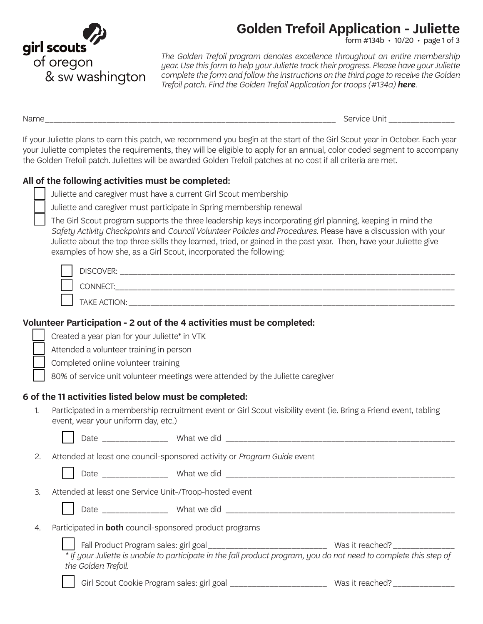

# **Golden Trefoil Application - Juliette**

 $\frac{1}{6}$  orm #134b  $\cdot$  10/20  $\cdot$  page 1 of 3

*The Golden Trefoil program denotes excellence throughout an entire membership year. Use this form to help your Juliette track their progress. Please have your Juliette complete the form and follow the instructions on the third page to receive the Golden Trefoil patch. Find the Golden Trefoil Application for troops (#134a) [here](https://www.girlscoutsosw.org/en/our-council/forms---documents.html).*

Name\_\_\_\_\_\_\_\_\_\_\_\_\_\_\_\_\_\_\_\_\_\_\_\_\_\_\_\_\_\_\_\_\_\_\_\_\_\_\_\_\_\_\_\_\_\_\_\_\_\_\_\_\_\_\_\_\_\_\_\_\_\_\_\_\_\_ Service Unit \_\_\_\_\_\_\_\_\_\_\_\_\_\_\_

If your Juliette plans to earn this patch, we recommend you begin at the start of the Girl Scout year in October. Each year your Juliette completes the requirements, they will be eligible to apply for an annual, color coded segment to accompany the Golden Trefoil patch. Juliettes will be awarded Golden Trefoil patches at no cost if all criteria are met.

#### **All of the following activities must be completed:**

Juliette and caregiver must have a current Girl Scout membership

Juliette and caregiver must participate in Spring membership renewal

 The Girl Scout program supports the three leadership keys incorporating girl planning, keeping in mind the *[Safety Activity Checkpoints](https://www.girlscoutsosw.org/content/dam/oregon-sw-washington-/forms/safety.pdf)* and *[Council Volunteer Policies and Procedures](https://www.girlscoutsosw.org/content/dam/oregon-sw-washington-/forms/Volunteer_Essentials.pdf)*. Please have a discussion with your Juliette about the top three skills they learned, tried, or gained in the past year. Then, have your Juliette give examples of how she, as a Girl Scout, incorporated the following:

| <b>DISCOVER:</b><br>____ |
|--------------------------|
| _____                    |
| TAKE ACTION:<br>______   |

#### **Volunteer Participation - 2 out of the 4 activities must be completed:**

Created a year plan for your Juliette\* in VTK

Attended a volunteer training in person

Completed online volunteer training

80% of service unit volunteer meetings were attended by the Juliette caregiver

#### **6 of the 11 activities listed below must be completed:**

1. Participated in a membership recruitment event or Girl Scout visibility event (ie. Bring a Friend event, tabling event, wear your uniform day, etc.)

|    | Date ______________                                                     | What we did                                                                                                       |                 |
|----|-------------------------------------------------------------------------|-------------------------------------------------------------------------------------------------------------------|-----------------|
| 2. | Attended at least one council-sponsored activity or Program Guide event |                                                                                                                   |                 |
|    |                                                                         |                                                                                                                   |                 |
| 3. | Attended at least one Service Unit-/Troop-hosted event                  |                                                                                                                   |                 |
|    |                                                                         | Date ____________________ What we did                                                                             |                 |
| 4. | Participated in <b>both</b> council-sponsored product programs          |                                                                                                                   |                 |
|    | the Golden Trefoil.                                                     | * If your Juliette is unable to participate in the fall product program, you do not need to complete this step of | Was it reached? |

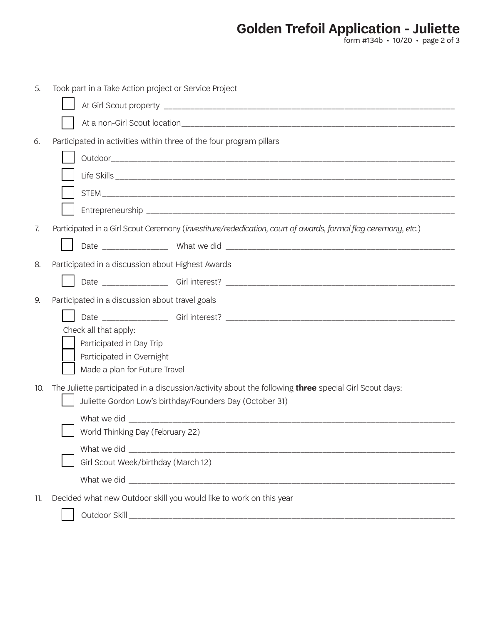**Golden Trefoil Application - Juliette**

form #134b • 10/20 • page 2 of 3

| 5.                                                         | Took part in a Take Action project or Service Project                                                         |  |  |  |
|------------------------------------------------------------|---------------------------------------------------------------------------------------------------------------|--|--|--|
|                                                            |                                                                                                               |  |  |  |
|                                                            |                                                                                                               |  |  |  |
| 6.                                                         | Participated in activities within three of the four program pillars                                           |  |  |  |
|                                                            |                                                                                                               |  |  |  |
|                                                            |                                                                                                               |  |  |  |
|                                                            |                                                                                                               |  |  |  |
|                                                            |                                                                                                               |  |  |  |
| 7.                                                         | Participated in a Girl Scout Ceremony (investiture/rededication, court of awards, formal flag ceremony, etc.) |  |  |  |
|                                                            |                                                                                                               |  |  |  |
| 8.                                                         | Participated in a discussion about Highest Awards                                                             |  |  |  |
|                                                            |                                                                                                               |  |  |  |
| 9.                                                         | Participated in a discussion about travel goals                                                               |  |  |  |
|                                                            |                                                                                                               |  |  |  |
|                                                            | Check all that apply:                                                                                         |  |  |  |
|                                                            | Participated in Day Trip                                                                                      |  |  |  |
| Participated in Overnight<br>Made a plan for Future Travel |                                                                                                               |  |  |  |
| 10.                                                        | The Juliette participated in a discussion/activity about the following <b>three</b> special Girl Scout days:  |  |  |  |
| Juliette Gordon Low's birthday/Founders Day (October 31)   |                                                                                                               |  |  |  |
|                                                            |                                                                                                               |  |  |  |
|                                                            | World Thinking Day (February 22)                                                                              |  |  |  |
|                                                            |                                                                                                               |  |  |  |
|                                                            | Girl Scout Week/birthday (March 12)                                                                           |  |  |  |
|                                                            |                                                                                                               |  |  |  |
| 11.                                                        | Decided what new Outdoor skill you would like to work on this year                                            |  |  |  |
|                                                            |                                                                                                               |  |  |  |